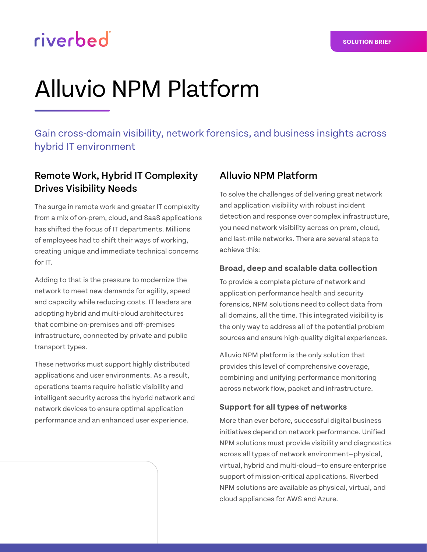# riverbed

# Alluvio NPM Platform

Gain cross-domain visibility, network forensics, and business insights across hybrid IT environment

# Remote Work, Hybrid IT Complexity Drives Visibility Needs

The surge in remote work and greater IT complexity from a mix of on-prem, cloud, and SaaS applications has shifted the focus of IT departments. Millions of employees had to shift their ways of working, creating unique and immediate technical concerns for IT.

Adding to that is the pressure to modernize the network to meet new demands for agility, speed and capacity while reducing costs. IT leaders are adopting hybrid and multi-cloud architectures that combine on-premises and off-premises infrastructure, connected by private and public transport types.

These networks must support highly distributed applications and user environments. As a result, operations teams require holistic visibility and intelligent security across the hybrid network and network devices to ensure optimal application performance and an enhanced user experience.

# Alluvio NPM Platform

To solve the challenges of delivering great network and application visibility with robust incident detection and response over complex infrastructure, you need network visibility across on prem, cloud, and last-mile networks. There are several steps to achieve this:

### **Broad, deep and scalable data collection**

To provide a complete picture of network and application performance health and security forensics, NPM solutions need to collect data from all domains, all the time. This integrated visibility is the only way to address all of the potential problem sources and ensure high-quality digital experiences.

Alluvio NPM platform is the only solution that provides this level of comprehensive coverage, combining and unifying performance monitoring across network flow, packet and infrastructure.

### **Support for all types of networks**

More than ever before, successful digital business initiatives depend on network performance. Unified NPM solutions must provide visibility and diagnostics across all types of network environment—physical, virtual, hybrid and multi-cloud—to ensure enterprise support of mission-critical applications. Riverbed NPM solutions are available as physical, virtual, and cloud appliances for AWS and Azure.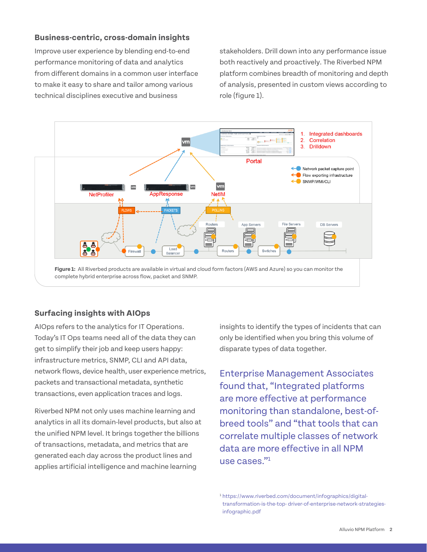#### **Business-centric, cross-domain insights**

Improve user experience by blending end-to-end performance monitoring of data and analytics from different domains in a common user interface to make it easy to share and tailor among various technical disciplines executive and business

stakeholders. Drill down into any performance issue both reactively and proactively. The Riverbed NPM platform combines breadth of monitoring and depth of analysis, presented in custom views according to role (figure 1).



#### **Surfacing insights with AIOps**

AIOps refers to the analytics for IT Operations. Today's IT Ops teams need all of the data they can get to simplify their job and keep users happy: infrastructure metrics, SNMP, CLI and API data, network flows, device health, user experience metrics, packets and transactional metadata, synthetic transactions, even application traces and logs.

Riverbed NPM not only uses machine learning and analytics in all its domain-level products, but also at the unified NPM level. It brings together the billions of transactions, metadata, and metrics that are generated each day across the product lines and applies artificial intelligence and machine learning

insights to identify the types of incidents that can only be identified when you bring this volume of disparate types of data together.

Enterprise Management Associates found that, "Integrated platforms are more effective at performance monitoring than standalone, best-ofbreed tools" and "that tools that can correlate multiple classes of network data are more effective in all NPM use cases."1

<sup>1</sup> [https://www.riverbed.com/document/infographics/digital](https://www.riverbed.com/document/infographics/digital-transformation-is-the-top-driver-of-enterprise-network-strategies-infographic.pdf)[transformation-is-the-top- driver-of-enterprise-network-strategies](https://www.riverbed.com/document/infographics/digital-transformation-is-the-top-driver-of-enterprise-network-strategies-infographic.pdf)[infographic.pdf](https://www.riverbed.com/document/infographics/digital-transformation-is-the-top-driver-of-enterprise-network-strategies-infographic.pdf)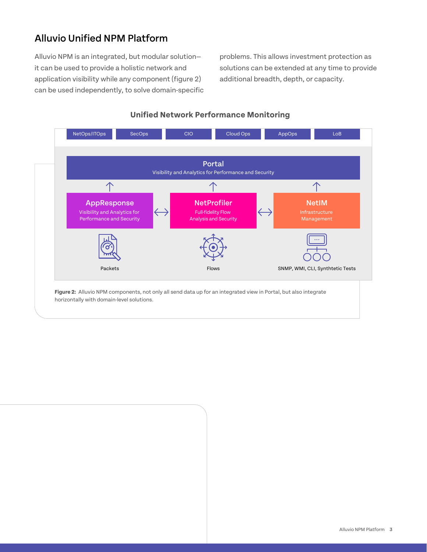# Alluvio Unified NPM Platform

Alluvio NPM is an integrated, but modular solution it can be used to provide a holistic network and application visibility while any component (figure 2) can be used independently, to solve domain-specific problems. This allows investment protection as solutions can be extended at any time to provide additional breadth, depth, or capacity.



#### **Unified Network Performance Monitoring**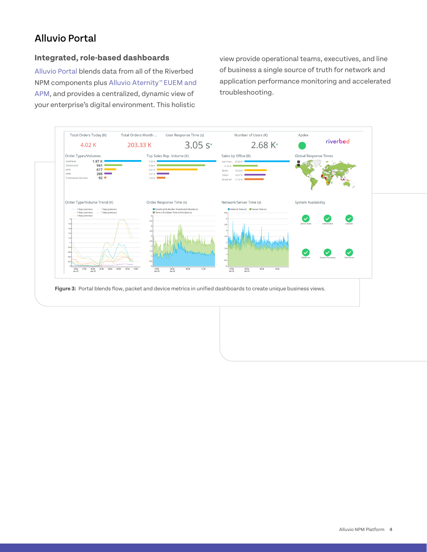# Alluvio Portal

#### **Integrated, role-based dashboards**

Alluvio [Portal](https://www.riverbed.com/products/steelcentral/steelcentral-portal.html) blends data from all of the Riverbed NPM components plus [Alluvio Aternity™ EUEM and](https://www.riverbed.com/solutions/digital-experience-management)  [APM](https://www.riverbed.com/solutions/digital-experience-management), and provides a centralized, dynamic view of your enterprise's digital environment. This holistic

view provide operational teams, executives, and line of business a single source of truth for network and application performance monitoring and accelerated troubleshooting.

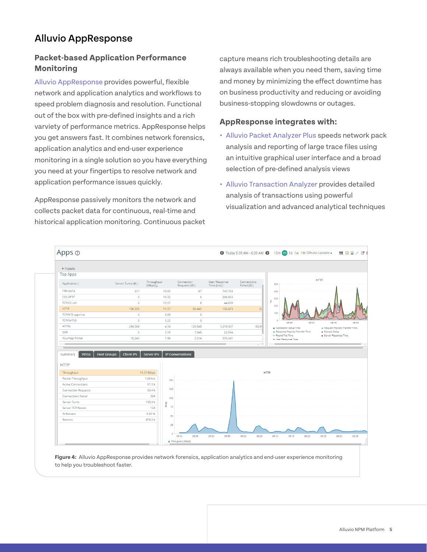# Alluvio AppResponse

## **Packet-based Application Performance Monitoring**

Alluvio [AppResponse](https://www.riverbed.com/products/steelcentral/steelcentral-appresponse-11.html) provides powerful, flexible network and application analytics and workflows to speed problem diagnosis and resolution. Functional out of the box with pre-defined insights and a rich varviety of performance metrics. AppResponse helps you get answers fast. It combines network forensics, application analytics and end-user experience monitoring in a single solution so you have everything you need at your fingertips to resolve network and application performance issues quickly.

AppResponse passively monitors the network and collects packet data for continuous, real-time and historical application monitoring. Continuous packet capture means rich troubleshooting details are always available when you need them, saving time and money by minimizing the effect downtime has on business productivity and reducing or avoiding business-stopping slowdowns or outages.

## **AppResponse integrates with:**

- **•** Alluvi[o Packet Analyzer Plus](https://www.riverbed.com/products/steelcentral/steelcentral-packet-analyzer.html) speeds network pack analysis and reporting of large trace files using an intuitive graphical user interface and a broad selection of pre-defined analysis views
- **•** Alluvi[o Transaction Analyzer](https://www.riverbed.com/products/steelcentral/steelcentral-transaction-analyzer.html) provides detailed analysis of transactions using powerful visualization and advanced analytical techniques



**Figure 4:** Alluvio AppResponse provides network forensics, application analytics and end-user experience monitoring to help you troubleshoot faster.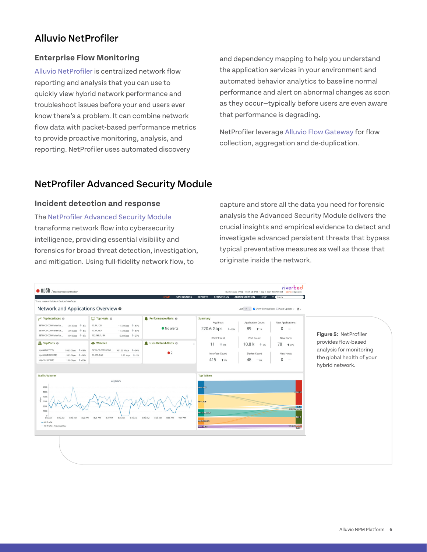# Alluvio NetProfiler

#### **Enterprise Flow Monitoring**

Alluvio [NetProfiler](https://www.riverbed.com/products/steelcentral/steelcentral-netprofiler.html) is centralized network flow reporting and analysis that you can use to quickly view hybrid network performance and troubleshoot issues before your end users ever know there's a problem. It can combine network flow data with packet-based performance metrics to provide proactive monitoring, analysis, and reporting. NetProfiler uses automated discovery

and dependency mapping to help you understand the application services in your environment and automated behavior analytics to baseline normal performance and alert on abnormal changes as soon as they occur—typically before users are even aware that performance is degrading.

NetProfiler leverage Alluvio [Flow Gateway](https://www.riverbed.com/products/steelcentral/steelcentral-flow-gateway.html) for flow collection, aggregation and de-duplication.

# NetProfiler Advanced Security Module

#### **Incident detection and response**

The [NetProfiler Advanced Security Module](https://www.riverbed.com/products/steelcentral/steelcentral-netprofiler-advanced-security-module.html)  transforms network flow into cybersecurity intelligence, providing essential visibility and forensics for broad threat detection, investigation, and mitigation. Using full-fidelity network flow, to

capture and store all the data you need for forensic analysis the Advanced Security Module delivers the crucial insights and empirical evidence to detect and investigate advanced persistent threats that bypass typical preventative measures as well as those that originate inside the network.

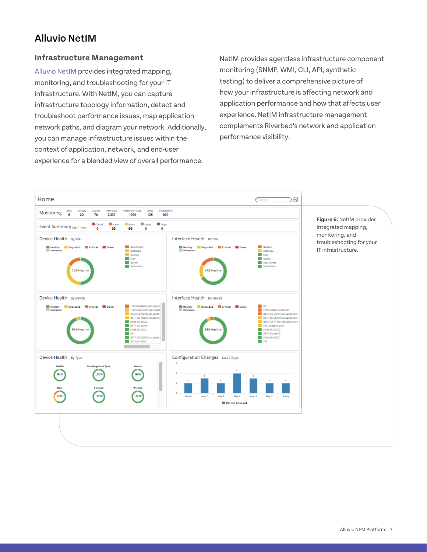# Alluvio NetIM

#### **Infrastructure Management**

Alluvi[o NetIM](https://www.riverbed.com/products/npm/netim) provides integrated mapping, monitoring, and troubleshooting for your IT infrastructure. With NetIM, you can capture infrastructure topology information, detect and troubleshoot performance issues, map application network paths, and diagram your network. Additionally, you can manage infrastructure issues within the context of application, network, and end-user experience for a blended view of overall performance.

NetIM provides agentless infrastructure component monitoring (SNMP, WMI, CLI, API, synthetic testing) to deliver a comprehensive picture of how your infrastructure is affecting network and application performance and how that affects user experience. NetIM infrastructure management complements Riverbed's network and application performance visibility.